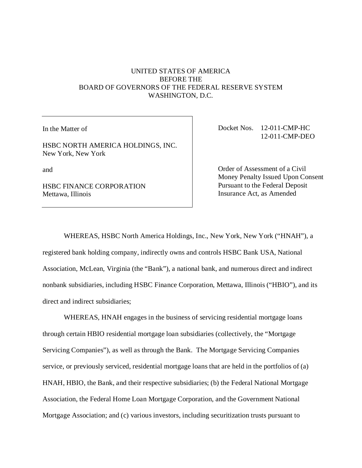## UNITED STATES OF AMERICA BEFORE THE BOARD OF GOVERNORS OF THE FEDERAL RESERVE SYSTEM WASHINGTON, D.C.

In the Matter of

HSBC NORTH AMERICA HOLDINGS, INC. New York, New York

and

HSBC FINANCE CORPORATION Mettawa, Illinois

Docket Nos. 12-011-CMP-HC 12-011-CMP-DEO

Order of Assessment of a Civil Money Penalty Issued Upon Consent Pursuant to the Federal Deposit Insurance Act, as Amended

WHEREAS, HSBC North America Holdings, Inc., New York, New York ("HNAH"), a

registered bank holding company, indirectly owns and controls HSBC Bank USA, National Association, McLean, Virginia (the "Bank"), a national bank, and numerous direct and indirect nonbank subsidiaries, including HSBC Finance Corporation, Mettawa, Illinois ("HBIO"), and its direct and indirect subsidiaries;

WHEREAS, HNAH engages in the business of servicing residential mortgage loans through certain HBIO residential mortgage loan subsidiaries (collectively, the "Mortgage Servicing Companies"), as well as through the Bank. The Mortgage Servicing Companies service, or previously serviced, residential mortgage loans that are held in the portfolios of (a) HNAH, HBIO, the Bank, and their respective subsidiaries; (b) the Federal National Mortgage Association, the Federal Home Loan Mortgage Corporation, and the Government National Mortgage Association; and (c) various investors, including securitization trusts pursuant to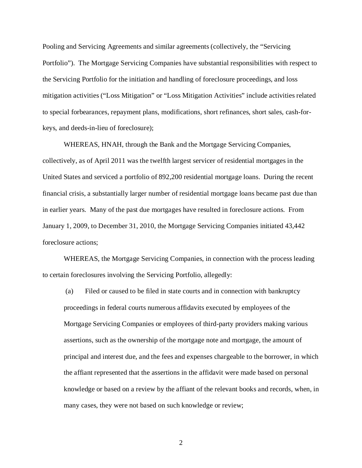Pooling and Servicing Agreements and similar agreements (collectively, the "Servicing Portfolio"). The Mortgage Servicing Companies have substantial responsibilities with respect to the Servicing Portfolio for the initiation and handling of foreclosure proceedings, and loss mitigation activities ("Loss Mitigation" or "Loss Mitigation Activities" include activities related to special forbearances, repayment plans, modifications, short refinances, short sales, cash-forkeys, and deeds-in-lieu of foreclosure);

WHEREAS, HNAH, through the Bank and the Mortgage Servicing Companies, collectively, as of April 2011 was the twelfth largest servicer of residential mortgages in the United States and serviced a portfolio of 892,200 residential mortgage loans. During the recent financial crisis, a substantially larger number of residential mortgage loans became past due than in earlier years. Many of the past due mortgages have resulted in foreclosure actions. From January 1, 2009, to December 31, 2010, the Mortgage Servicing Companies initiated 43,442 foreclosure actions;

WHEREAS, the Mortgage Servicing Companies, in connection with the process leading to certain foreclosures involving the Servicing Portfolio, allegedly:

 (a) Filed or caused to be filed in state courts and in connection with bankruptcy proceedings in federal courts numerous affidavits executed by employees of the Mortgage Servicing Companies or employees of third-party providers making various assertions, such as the ownership of the mortgage note and mortgage, the amount of principal and interest due, and the fees and expenses chargeable to the borrower, in which the affiant represented that the assertions in the affidavit were made based on personal knowledge or based on a review by the affiant of the relevant books and records, when, in many cases, they were not based on such knowledge or review;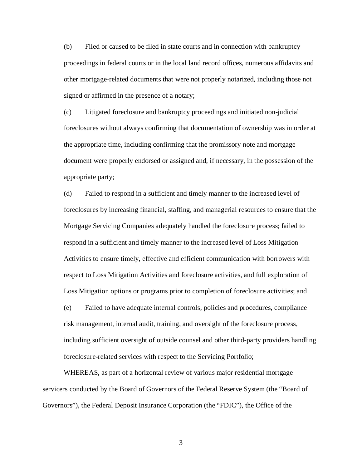(b) Filed or caused to be filed in state courts and in connection with bankruptcy proceedings in federal courts or in the local land record offices, numerous affidavits and other mortgage-related documents that were not properly notarized, including those not signed or affirmed in the presence of a notary;

(c) Litigated foreclosure and bankruptcy proceedings and initiated non-judicial foreclosures without always confirming that documentation of ownership was in order at the appropriate time, including confirming that the promissory note and mortgage document were properly endorsed or assigned and, if necessary, in the possession of the appropriate party;

(d) Failed to respond in a sufficient and timely manner to the increased level of foreclosures by increasing financial, staffing, and managerial resources to ensure that the Mortgage Servicing Companies adequately handled the foreclosure process; failed to respond in a sufficient and timely manner to the increased level of Loss Mitigation Activities to ensure timely, effective and efficient communication with borrowers with respect to Loss Mitigation Activities and foreclosure activities, and full exploration of Loss Mitigation options or programs prior to completion of foreclosure activities; and

(e) Failed to have adequate internal controls, policies and procedures, compliance risk management, internal audit, training, and oversight of the foreclosure process, including sufficient oversight of outside counsel and other third-party providers handling foreclosure-related services with respect to the Servicing Portfolio;

WHEREAS, as part of a horizontal review of various major residential mortgage servicers conducted by the Board of Governors of the Federal Reserve System (the "Board of Governors"), the Federal Deposit Insurance Corporation (the "FDIC"), the Office of the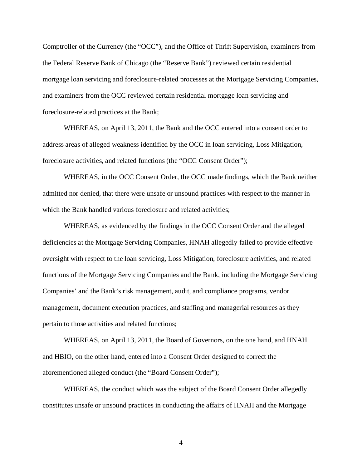Comptroller of the Currency (the "OCC"), and the Office of Thrift Supervision, examiners from the Federal Reserve Bank of Chicago (the "Reserve Bank") reviewed certain residential mortgage loan servicing and foreclosure-related processes at the Mortgage Servicing Companies, and examiners from the OCC reviewed certain residential mortgage loan servicing and foreclosure-related practices at the Bank;

WHEREAS, on April 13, 2011, the Bank and the OCC entered into a consent order to address areas of alleged weakness identified by the OCC in loan servicing, Loss Mitigation, foreclosure activities, and related functions (the "OCC Consent Order");

WHEREAS, in the OCC Consent Order, the OCC made findings, which the Bank neither admitted nor denied, that there were unsafe or unsound practices with respect to the manner in which the Bank handled various foreclosure and related activities;

WHEREAS, as evidenced by the findings in the OCC Consent Order and the alleged deficiencies at the Mortgage Servicing Companies, HNAH allegedly failed to provide effective oversight with respect to the loan servicing, Loss Mitigation, foreclosure activities, and related functions of the Mortgage Servicing Companies and the Bank, including the Mortgage Servicing Companies' and the Bank's risk management, audit, and compliance programs, vendor management, document execution practices, and staffing and managerial resources as they pertain to those activities and related functions;

WHEREAS, on April 13, 2011, the Board of Governors, on the one hand, and HNAH and HBIO, on the other hand, entered into a Consent Order designed to correct the aforementioned alleged conduct (the "Board Consent Order");

WHEREAS, the conduct which was the subject of the Board Consent Order allegedly constitutes unsafe or unsound practices in conducting the affairs of HNAH and the Mortgage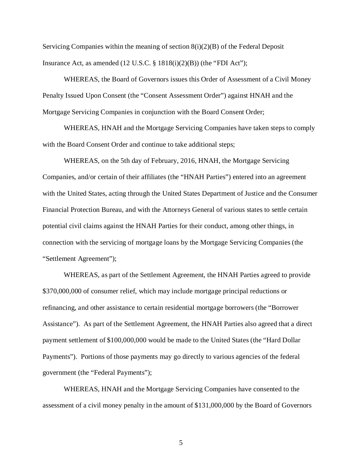Servicing Companies within the meaning of section  $8(i)(2)(B)$  of the Federal Deposit Insurance Act, as amended  $(12 \text{ U.S.C. } § 1818(i)(2)(B))$  (the "FDI Act");

WHEREAS, the Board of Governors issues this Order of Assessment of a Civil Money Penalty Issued Upon Consent (the "Consent Assessment Order") against HNAH and the Mortgage Servicing Companies in conjunction with the Board Consent Order;

WHEREAS, HNAH and the Mortgage Servicing Companies have taken steps to comply with the Board Consent Order and continue to take additional steps;

WHEREAS, on the 5th day of February, 2016, HNAH, the Mortgage Servicing Companies, and/or certain of their affiliates (the "HNAH Parties") entered into an agreement with the United States, acting through the United States Department of Justice and the Consumer Financial Protection Bureau, and with the Attorneys General of various states to settle certain potential civil claims against the HNAH Parties for their conduct, among other things, in connection with the servicing of mortgage loans by the Mortgage Servicing Companies (the "Settlement Agreement");

WHEREAS, as part of the Settlement Agreement, the HNAH Parties agreed to provide \$370,000,000 of consumer relief, which may include mortgage principal reductions or refinancing, and other assistance to certain residential mortgage borrowers (the "Borrower Assistance"). As part of the Settlement Agreement, the HNAH Parties also agreed that a direct payment settlement of \$100,000,000 would be made to the United States (the "Hard Dollar Payments"). Portions of those payments may go directly to various agencies of the federal government (the "Federal Payments");

WHEREAS, HNAH and the Mortgage Servicing Companies have consented to the assessment of a civil money penalty in the amount of \$131,000,000 by the Board of Governors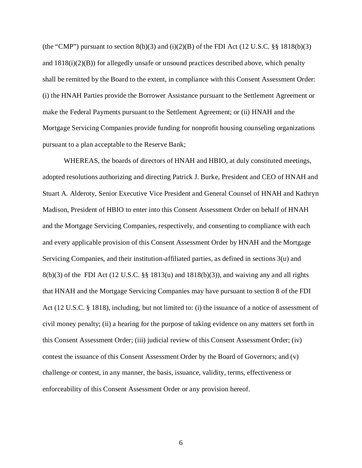(the "CMP") pursuant to section  $8(b)(3)$  and  $(i)(2)(B)$  of the FDI Act (12 U.S.C. §§ 1818(b)(3) and 1818(i)(2)(B)) for allegedly unsafe or unsound practices described above, which penalty shall be remitted by the Board to the extent, in compliance with this Consent Assessment Order: (i) the HNAH Parties provide the Borrower Assistance pursuant to the Settlement Agreement or make the Federal Payments pursuant to the Settlement Agreement; or (ii) HNAH and the Mortgage Servicing Companies provide funding for nonprofit housing counseling organizations pursuant to a plan acceptable to the Reserve Bank;

WHEREAS, the boards of directors of HNAH and HBIO, at duly constituted meetings, adopted resolutions authorizing and directing Patrick J. Burke, President and CEO of HNAH and Stuart A. Alderoty, Senior Executive Vice President and General Counsel of HNAH and Kathryn Madison, President of HBIO to enter into this Consent Assessment Order on behalf of HNAH and the Mortgage Servicing Companies, respectively, and consenting to compliance with each and every applicable provision of this Consent Assessment Order by HNAH and the Mortgage Servicing Companies, and their institution-affiliated parties, as defined in sections 3(u) and  $8(b)(3)$  of the FDI Act (12 U.S.C. §§ 1813(u) and 1818(b)(3)), and waiving any and all rights that HNAH and the Mortgage Servicing Companies may have pursuant to section 8 of the FDI Act (12 U.S.C. § 1818), including, but not limited to: (i) the issuance of a notice of assessment of civil money penalty; (ii) a hearing for the purpose of taking evidence on any matters set forth in this Consent Assessment Order; (iii) judicial review of this Consent Assessment Order; (iv) contest the issuance of this Consent Assessment Order by the Board of Governors; and (v) challenge or contest, in any manner, the basis, issuance, validity, terms, effectiveness or enforceability of this Consent Assessment Order or any provision hereof.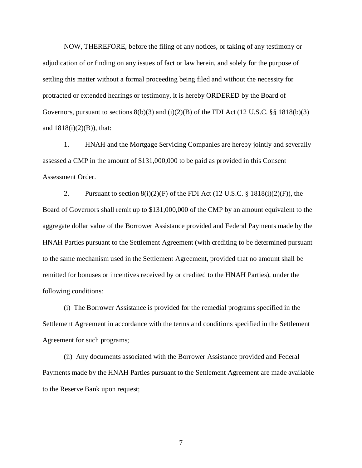NOW, THEREFORE, before the filing of any notices, or taking of any testimony or adjudication of or finding on any issues of fact or law herein, and solely for the purpose of settling this matter without a formal proceeding being filed and without the necessity for protracted or extended hearings or testimony, it is hereby ORDERED by the Board of Governors, pursuant to sections  $8(b)(3)$  and  $(i)(2)(B)$  of the FDI Act (12 U.S.C. §§ 1818(b)(3) and  $1818(i)(2)(B)$ , that:

1. HNAH and the Mortgage Servicing Companies are hereby jointly and severally assessed a CMP in the amount of \$131,000,000 to be paid as provided in this Consent Assessment Order.

2. Pursuant to section  $8(i)(2)(F)$  of the FDI Act (12 U.S.C. § 1818(i)(2)(F)), the Board of Governors shall remit up to \$131,000,000 of the CMP by an amount equivalent to the aggregate dollar value of the Borrower Assistance provided and Federal Payments made by the HNAH Parties pursuant to the Settlement Agreement (with crediting to be determined pursuant to the same mechanism used in the Settlement Agreement, provided that no amount shall be remitted for bonuses or incentives received by or credited to the HNAH Parties), under the following conditions:

(i) The Borrower Assistance is provided for the remedial programs specified in the Settlement Agreement in accordance with the terms and conditions specified in the Settlement Agreement for such programs;

(ii) Any documents associated with the Borrower Assistance provided and Federal Payments made by the HNAH Parties pursuant to the Settlement Agreement are made available to the Reserve Bank upon request;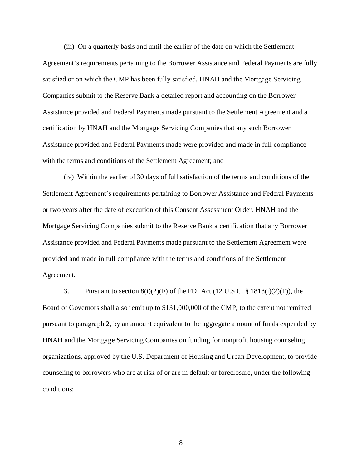(iii) On a quarterly basis and until the earlier of the date on which the Settlement Agreement's requirements pertaining to the Borrower Assistance and Federal Payments are fully satisfied or on which the CMP has been fully satisfied, HNAH and the Mortgage Servicing Companies submit to the Reserve Bank a detailed report and accounting on the Borrower Assistance provided and Federal Payments made pursuant to the Settlement Agreement and a certification by HNAH and the Mortgage Servicing Companies that any such Borrower Assistance provided and Federal Payments made were provided and made in full compliance with the terms and conditions of the Settlement Agreement; and

(iv) Within the earlier of 30 days of full satisfaction of the terms and conditions of the Settlement Agreement's requirements pertaining to Borrower Assistance and Federal Payments or two years after the date of execution of this Consent Assessment Order, HNAH and the Mortgage Servicing Companies submit to the Reserve Bank a certification that any Borrower Assistance provided and Federal Payments made pursuant to the Settlement Agreement were provided and made in full compliance with the terms and conditions of the Settlement Agreement.

3. Pursuant to section  $8(i)(2)(F)$  of the FDI Act (12 U.S.C. § 1818(i)(2)(F)), the Board of Governors shall also remit up to \$131,000,000 of the CMP, to the extent not remitted pursuant to paragraph 2, by an amount equivalent to the aggregate amount of funds expended by HNAH and the Mortgage Servicing Companies on funding for nonprofit housing counseling organizations, approved by the U.S. Department of Housing and Urban Development, to provide counseling to borrowers who are at risk of or are in default or foreclosure, under the following conditions: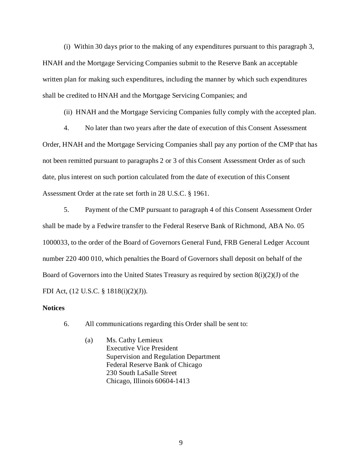(i) Within 30 days prior to the making of any expenditures pursuant to this paragraph 3, HNAH and the Mortgage Servicing Companies submit to the Reserve Bank an acceptable written plan for making such expenditures, including the manner by which such expenditures shall be credited to HNAH and the Mortgage Servicing Companies; and

(ii) HNAH and the Mortgage Servicing Companies fully comply with the accepted plan.

4. No later than two years after the date of execution of this Consent Assessment Order, HNAH and the Mortgage Servicing Companies shall pay any portion of the CMP that has not been remitted pursuant to paragraphs 2 or 3 of this Consent Assessment Order as of such date, plus interest on such portion calculated from the date of execution of this Consent Assessment Order at the rate set forth in 28 U.S.C. § 1961.

5. Payment of the CMP pursuant to paragraph 4 of this Consent Assessment Order shall be made by a Fedwire transfer to the Federal Reserve Bank of Richmond, ABA No. 05 1000033, to the order of the Board of Governors General Fund, FRB General Ledger Account number 220 400 010, which penalties the Board of Governors shall deposit on behalf of the Board of Governors into the United States Treasury as required by section  $8(i)(2)(J)$  of the FDI Act, (12 U.S.C. § 1818(i)(2)(J)).

## **Notices**

6. All communications regarding this Order shall be sent to:

(a) Ms. Cathy Lemieux Executive Vice President Supervision and Regulation Department Federal Reserve Bank of Chicago 230 South LaSalle Street Chicago, Illinois 60604-1413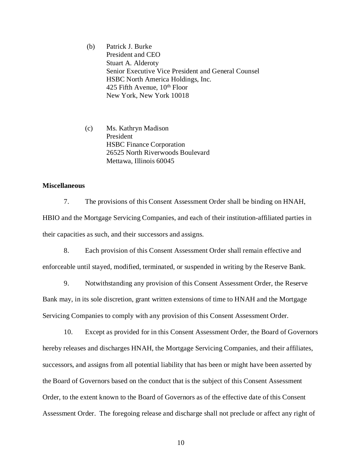(b) Patrick J. Burke President and CEO Stuart A. Alderoty Senior Executive Vice President and General Counsel HSBC North America Holdings, Inc. 425 Fifth Avenue,  $10^{th}$  Floor New York, New York 10018

(c) Ms. Kathryn Madison President HSBC Finance Corporation 26525 North Riverwoods Boulevard Mettawa, Illinois 60045

## **Miscellaneous**

7. The provisions of this Consent Assessment Order shall be binding on HNAH, HBIO and the Mortgage Servicing Companies, and each of their institution-affiliated parties in their capacities as such, and their successors and assigns.

8. Each provision of this Consent Assessment Order shall remain effective and enforceable until stayed, modified, terminated, or suspended in writing by the Reserve Bank.

9. Notwithstanding any provision of this Consent Assessment Order, the Reserve Bank may, in its sole discretion, grant written extensions of time to HNAH and the Mortgage Servicing Companies to comply with any provision of this Consent Assessment Order.

10. Except as provided for in this Consent Assessment Order, the Board of Governors hereby releases and discharges HNAH, the Mortgage Servicing Companies, and their affiliates, successors, and assigns from all potential liability that has been or might have been asserted by the Board of Governors based on the conduct that is the subject of this Consent Assessment Order, to the extent known to the Board of Governors as of the effective date of this Consent Assessment Order. The foregoing release and discharge shall not preclude or affect any right of